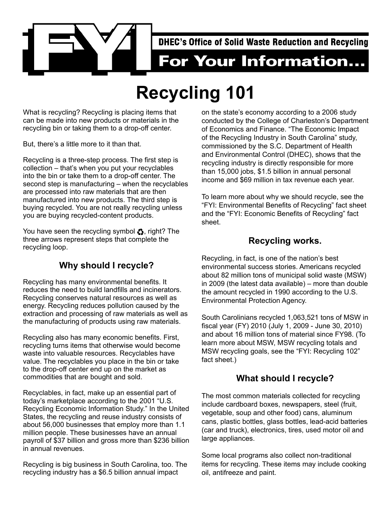

# **Recycling 101**

What is recycling? Recycling is placing items that can be made into new products or materials in the recycling bin or taking them to a drop-off center.

But, there's a little more to it than that.

Recycling is a three-step process. The first step is collection – that's when you put your recyclables into the bin or take them to a drop-off center. The second step is manufacturing – when the recyclables are processed into raw materials that are then manufactured into new products. The third step is buying recycled. You are not really recycling unless you are buying recycled-content products.

You have seen the recycling symbol  $\bullet$ , right? The three arrows represent steps that complete the recycling loop.

# **Why should I recycle?**

Recycling has many environmental benefits. It reduces the need to build landfills and incinerators. Recycling conserves natural resources as well as energy. Recycling reduces pollution caused by the extraction and processing of raw materials as well as the manufacturing of products using raw materials.

Recycling also has many economic benefits. First, recycling turns items that otherwise would become waste into valuable resources. Recyclables have value. The recyclables you place in the bin or take to the drop-off center end up on the market as commodities that are bought and sold.

Recyclables, in fact, make up an essential part of today's marketplace according to the 2001 "U.S. Recycling Economic Information Study." In the United States, the recycling and reuse industry consists of about 56,000 businesses that employ more than 1.1 million people. These businesses have an annual payroll of \$37 billion and gross more than \$236 billion in annual revenues.

Recycling is big business in South Carolina, too. The recycling industry has a \$6.5 billion annual impact

on the state's economy according to a 2006 study conducted by the College of Charleston's Department of Economics and Finance. "The Economic Impact of the Recycling Industry in South Carolina" study, commissioned by the S.C. Department of Health and Environmental Control (DHEC), shows that the recycling industry is directly responsible for more than 15,000 jobs, \$1.5 billion in annual personal income and \$69 million in tax revenue each year.

To learn more about why we should recycle, see the "FYI: Environmental Benefits of Recycling" fact sheet and the "FYI: Economic Benefits of Recycling" fact sheet.

#### **Recycling works.**

Recycling, in fact, is one of the nation's best environmental success stories. Americans recycled about 82 million tons of municipal solid waste (MSW) in 2009 (the latest data available) – more than double the amount recycled in 1990 according to the U.S. Environmental Protection Agency.

South Carolinians recycled 1,063,521 tons of MSW in fiscal year (FY) 2010 (July 1, 2009 - June 30, 2010) and about 16 million tons of material since FY98. (To learn more about MSW, MSW recycling totals and MSW recycling goals, see the "FYI: Recycling 102" fact sheet.)

# **What should I recycle?**

The most common materials collected for recycling include cardboard boxes, newspapers, steel (fruit, vegetable, soup and other food) cans, aluminum cans, plastic bottles, glass bottles, lead-acid batteries (car and truck), electronics, tires, used motor oil and large appliances.

Some local programs also collect non-traditional items for recycling. These items may include cooking oil, antifreeze and paint.